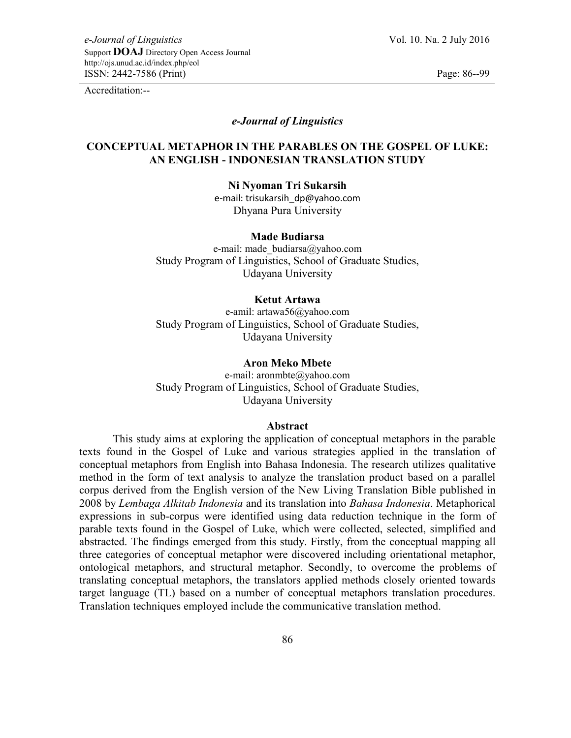# *e-Journal of Linguistics*

# **CONCEPTUAL METAPHOR IN THE PARABLES ON THE GOSPEL OF LUKE: AN ENGLISH - INDONESIAN TRANSLATION STUDY**

**Ni Nyoman Tri Sukarsih** e-mail: trisukarsih\_dp@yahoo.com

Dhyana Pura University

#### **Made Budiarsa**

e-mail: made\_budiarsa@yahoo.com Study Program of Linguistics, School of Graduate Studies, Udayana University

# **Ketut Artawa**

e-amil: artawa56@yahoo.com Study Program of Linguistics, School of Graduate Studies, Udayana University

#### **Aron Meko Mbete**

e-mail: aronmbte@yahoo.com Study Program of Linguistics, School of Graduate Studies, Udayana University

#### **Abstract**

This study aims at exploring the application of conceptual metaphors in the parable texts found in the Gospel of Luke and various strategies applied in the translation of conceptual metaphors from English into Bahasa Indonesia. The research utilizes qualitative method in the form of text analysis to analyze the translation product based on a parallel corpus derived from the English version of the New Living Translation Bible published in 2008 by *Lembaga Alkitab Indonesia* and its translation into *Bahasa Indonesia*. Metaphorical expressions in sub-corpus were identified using data reduction technique in the form of parable texts found in the Gospel of Luke, which were collected, selected, simplified and abstracted. The findings emerged from this study. Firstly, from the conceptual mapping all three categories of conceptual metaphor were discovered including orientational metaphor, ontological metaphors, and structural metaphor. Secondly, to overcome the problems of translating conceptual metaphors, the translators applied methods closely oriented towards target language (TL) based on a number of conceptual metaphors translation procedures. Translation techniques employed include the communicative translation method.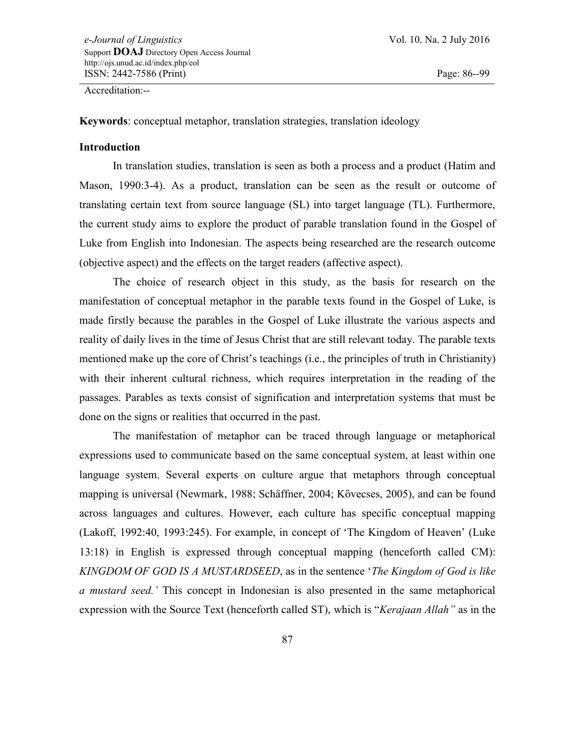**Keywords**: conceptual metaphor, translation strategies, translation ideology

# **Introduction**

In translation studies, translation is seen as both a process and a product (Hatim and Mason, 1990:3-4). As a product, translation can be seen as the result or outcome of translating certain text from source language (SL) into target language (TL). Furthermore, the current study aims to explore the product of parable translation found in the Gospel of Luke from English into Indonesian. The aspects being researched are the research outcome (objective aspect) and the effects on the target readers (affective aspect).

The choice of research object in this study, as the basis for research on the manifestation of conceptual metaphor in the parable texts found in the Gospel of Luke, is made firstly because the parables in the Gospel of Luke illustrate the various aspects and reality of daily lives in the time of Jesus Christ that are still relevant today. The parable texts mentioned make up the core of Christ"s teachings (i.e., the principles of truth in Christianity) with their inherent cultural richness, which requires interpretation in the reading of the passages. Parables as texts consist of signification and interpretation systems that must be done on the signs or realities that occurred in the past.

The manifestation of metaphor can be traced through language or metaphorical expressions used to communicate based on the same conceptual system, at least within one language system. Several experts on culture argue that metaphors through conceptual mapping is universal (Newmark, 1988; Schäffner, 2004; Kὂvecses, 2005), and can be found across languages and cultures. However, each culture has specific conceptual mapping (Lakoff, 1992:40, 1993:245). For example, in concept of "The Kingdom of Heaven" (Luke 13:18) in English is expressed through conceptual mapping (henceforth called CM): *KINGDOM OF GOD IS A MUSTARDSEED*, as in the sentence "*The Kingdom of God is like a mustard seed."* This concept in Indonesian is also presented in the same metaphorical expression with the Source Text (henceforth called ST), which is "*Kerajaan Allah"* as in the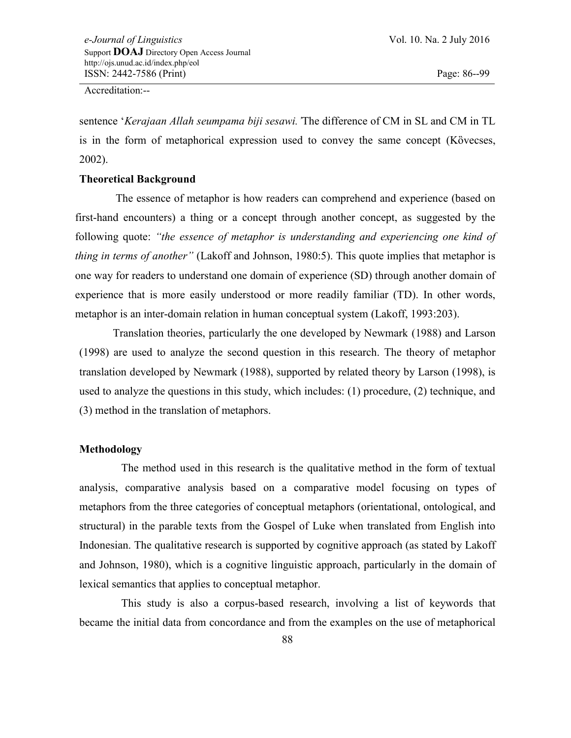sentence "*Kerajaan Allah seumpama biji sesawi."*The difference of CM in SL and CM in TL is in the form of metaphorical expression used to convey the same concept (Kὂvecses, 2002).

# **Theoretical Background**

The essence of metaphor is how readers can comprehend and experience (based on first-hand encounters) a thing or a concept through another concept, as suggested by the following quote: *"the essence of metaphor is understanding and experiencing one kind of thing in terms of another"* (Lakoff and Johnson, 1980:5). This quote implies that metaphor is one way for readers to understand one domain of experience (SD) through another domain of experience that is more easily understood or more readily familiar (TD). In other words, metaphor is an inter-domain relation in human conceptual system (Lakoff, 1993:203).

Translation theories, particularly the one developed by Newmark (1988) and Larson (1998) are used to analyze the second question in this research. The theory of metaphor translation developed by Newmark (1988), supported by related theory by Larson (1998), is used to analyze the questions in this study, which includes: (1) procedure, (2) technique, and (3) method in the translation of metaphors.

# **Methodology**

The method used in this research is the qualitative method in the form of textual analysis, comparative analysis based on a comparative model focusing on types of metaphors from the three categories of conceptual metaphors (orientational, ontological, and structural) in the parable texts from the Gospel of Luke when translated from English into Indonesian. The qualitative research is supported by cognitive approach (as stated by Lakoff and Johnson, 1980), which is a cognitive linguistic approach, particularly in the domain of lexical semantics that applies to conceptual metaphor.

This study is also a corpus-based research, involving a list of keywords that became the initial data from concordance and from the examples on the use of metaphorical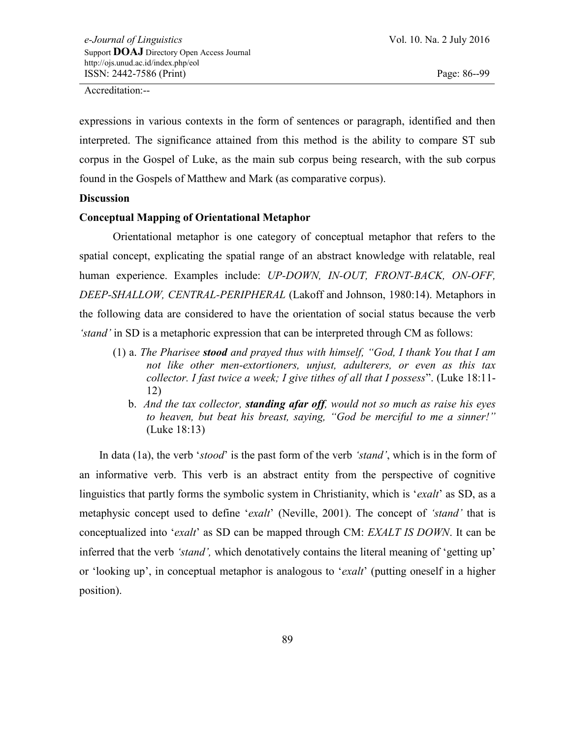expressions in various contexts in the form of sentences or paragraph, identified and then interpreted. The significance attained from this method is the ability to compare ST sub corpus in the Gospel of Luke, as the main sub corpus being research, with the sub corpus found in the Gospels of Matthew and Mark (as comparative corpus).

#### **Discussion**

#### **Conceptual Mapping of Orientational Metaphor**

Orientational metaphor is one category of conceptual metaphor that refers to the spatial concept, explicating the spatial range of an abstract knowledge with relatable, real human experience. Examples include: *UP-DOWN, IN-OUT, FRONT-BACK, ON-OFF, DEEP-SHALLOW, CENTRAL-PERIPHERAL* (Lakoff and Johnson, 1980:14). Metaphors in the following data are considered to have the orientation of social status because the verb *"stand"* in SD is a metaphoric expression that can be interpreted through CM as follows:

- (1) a. *The Pharisee stood and prayed thus with himself, "God, I thank You that I am not like other men-extortioners, unjust, adulterers, or even as this tax collector. I fast twice a week; I give tithes of all that I possess*". (Luke 18:11- 12)
	- b. *And the tax collector, standing afar off, would not so much as raise his eyes to heaven, but beat his breast, saying, "God be merciful to me a sinner!"*  (Luke 18:13)

In data (1a), the verb "*stood*" is the past form of the verb *"stand"*, which is in the form of an informative verb. This verb is an abstract entity from the perspective of cognitive linguistics that partly forms the symbolic system in Christianity, which is "*exalt*" as SD, as a metaphysic concept used to define "*exalt*" (Neville, 2001). The concept of *"stand"* that is conceptualized into "*exalt*" as SD can be mapped through CM: *EXALT IS DOWN*. It can be inferred that the verb *'stand'*, which denotatively contains the literal meaning of 'getting up' or "looking up", in conceptual metaphor is analogous to "*exalt*" (putting oneself in a higher position).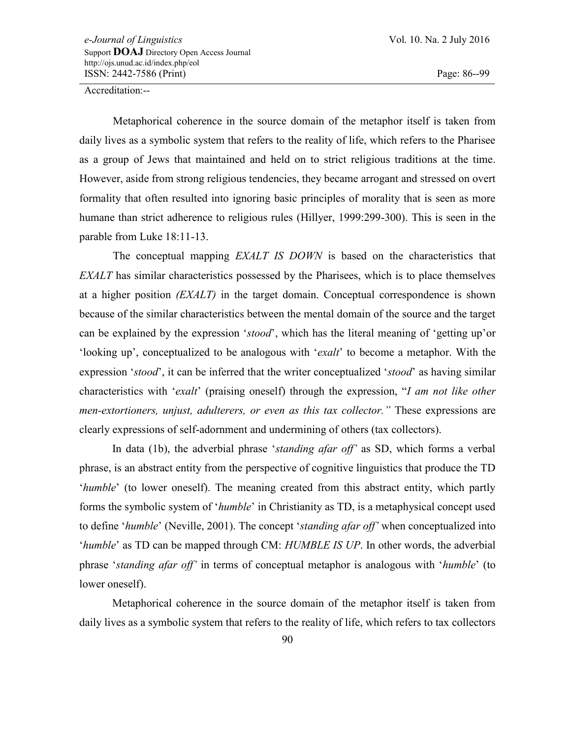Metaphorical coherence in the source domain of the metaphor itself is taken from daily lives as a symbolic system that refers to the reality of life, which refers to the Pharisee as a group of Jews that maintained and held on to strict religious traditions at the time. However, aside from strong religious tendencies, they became arrogant and stressed on overt formality that often resulted into ignoring basic principles of morality that is seen as more humane than strict adherence to religious rules (Hillyer, 1999:299-300). This is seen in the parable from Luke 18:11-13.

The conceptual mapping *EXALT IS DOWN* is based on the characteristics that *EXALT* has similar characteristics possessed by the Pharisees, which is to place themselves at a higher position *(EXALT)* in the target domain. Conceptual correspondence is shown because of the similar characteristics between the mental domain of the source and the target can be explained by the expression "*stood*", which has the literal meaning of "getting up"or "looking up", conceptualized to be analogous with "*exalt*" to become a metaphor. With the expression "*stood*", it can be inferred that the writer conceptualized "*stood*" as having similar characteristics with "*exalt*" (praising oneself) through the expression, "*I am not like other men-extortioners, unjust, adulterers, or even as this tax collector."* These expressions are clearly expressions of self-adornment and undermining of others (tax collectors).

In data (1b), the adverbial phrase "*standing afar off"* as SD, which forms a verbal phrase, is an abstract entity from the perspective of cognitive linguistics that produce the TD "*humble*" (to lower oneself). The meaning created from this abstract entity, which partly forms the symbolic system of "*humble*" in Christianity as TD, is a metaphysical concept used to define "*humble*" (Neville, 2001). The concept "*standing afar off"* when conceptualized into "*humble*" as TD can be mapped through CM: *HUMBLE IS UP*. In other words, the adverbial phrase "*standing afar off"* in terms of conceptual metaphor is analogous with "*humble*" (to lower oneself).

Metaphorical coherence in the source domain of the metaphor itself is taken from daily lives as a symbolic system that refers to the reality of life, which refers to tax collectors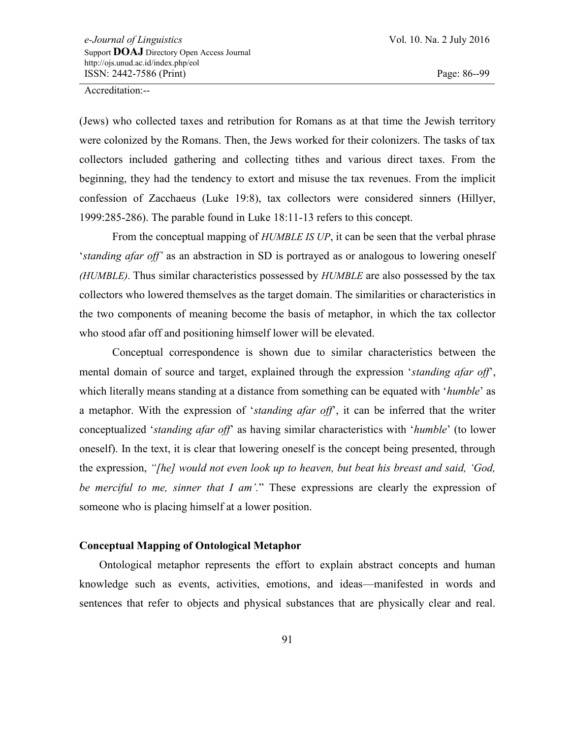(Jews) who collected taxes and retribution for Romans as at that time the Jewish territory were colonized by the Romans. Then, the Jews worked for their colonizers. The tasks of tax collectors included gathering and collecting tithes and various direct taxes. From the beginning, they had the tendency to extort and misuse the tax revenues. From the implicit confession of Zacchaeus (Luke 19:8), tax collectors were considered sinners (Hillyer, 1999:285-286). The parable found in Luke 18:11-13 refers to this concept.

From the conceptual mapping of *HUMBLE IS UP*, it can be seen that the verbal phrase "*standing afar off"* as an abstraction in SD is portrayed as or analogous to lowering oneself *(HUMBLE)*. Thus similar characteristics possessed by *HUMBLE* are also possessed by the tax collectors who lowered themselves as the target domain. The similarities or characteristics in the two components of meaning become the basis of metaphor, in which the tax collector who stood afar off and positioning himself lower will be elevated.

Conceptual correspondence is shown due to similar characteristics between the mental domain of source and target, explained through the expression "*standing afar off*", which literally means standing at a distance from something can be equated with "*humble*" as a metaphor. With the expression of "*standing afar off*", it can be inferred that the writer conceptualized "*standing afar off*" as having similar characteristics with "*humble*" (to lower oneself). In the text, it is clear that lowering oneself is the concept being presented, through the expression, *"[he] would not even look up to heaven, but beat his breast and said, "God, be merciful to me, sinner that I am".*" These expressions are clearly the expression of someone who is placing himself at a lower position.

# **Conceptual Mapping of Ontological Metaphor**

Ontological metaphor represents the effort to explain abstract concepts and human knowledge such as events, activities, emotions, and ideas—manifested in words and sentences that refer to objects and physical substances that are physically clear and real.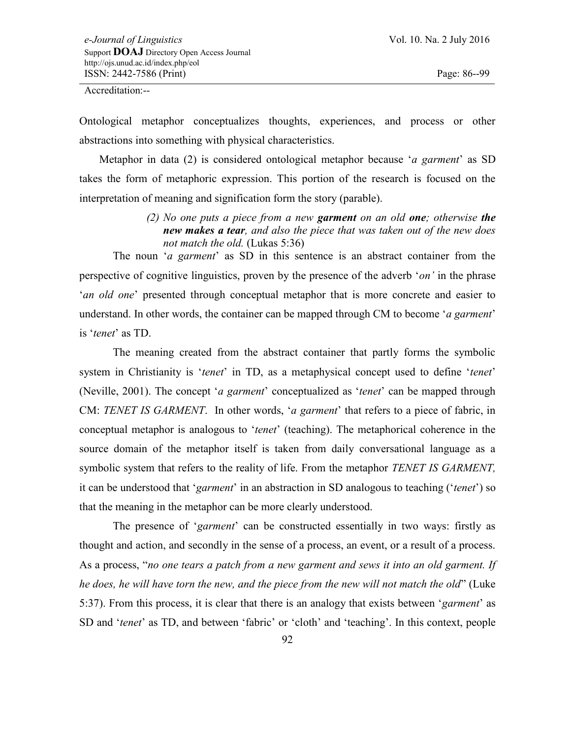Ontological metaphor conceptualizes thoughts, experiences, and process or other abstractions into something with physical characteristics.

Metaphor in data (2) is considered ontological metaphor because "*a garment*" as SD takes the form of metaphoric expression. This portion of the research is focused on the interpretation of meaning and signification form the story (parable).

> *(2) No one puts a piece from a new garment on an old one; otherwise the new makes a tear, and also the piece that was taken out of the new does not match the old.* (Lukas 5:36)

The noun '*a garment*' as SD in this sentence is an abstract container from the perspective of cognitive linguistics, proven by the presence of the adverb "*on"* in the phrase *'an old one'* presented through conceptual metaphor that is more concrete and easier to understand. In other words, the container can be mapped through CM to become "*a garment*" is "*tenet*" as TD.

The meaning created from the abstract container that partly forms the symbolic system in Christianity is '*tenet*' in TD, as a metaphysical concept used to define '*tenet*' (Neville, 2001). The concept "*a garment*" conceptualized as "*tenet*" can be mapped through CM: *TENET IS GARMENT*. In other words, "*a garment*" that refers to a piece of fabric, in conceptual metaphor is analogous to "*tenet*" (teaching). The metaphorical coherence in the source domain of the metaphor itself is taken from daily conversational language as a symbolic system that refers to the reality of life. From the metaphor *TENET IS GARMENT,*  it can be understood that "*garment*" in an abstraction in SD analogous to teaching ("*tenet*") so that the meaning in the metaphor can be more clearly understood.

The presence of *'garment'* can be constructed essentially in two ways: firstly as thought and action, and secondly in the sense of a process, an event, or a result of a process. As a process, "*no one tears a patch from a new garment and sews it into an old garment. If he does, he will have torn the new, and the piece from the new will not match the old*" (Luke 5:37). From this process, it is clear that there is an analogy that exists between "*garment*" as SD and "*tenet*" as TD, and between "fabric" or "cloth" and "teaching". In this context, people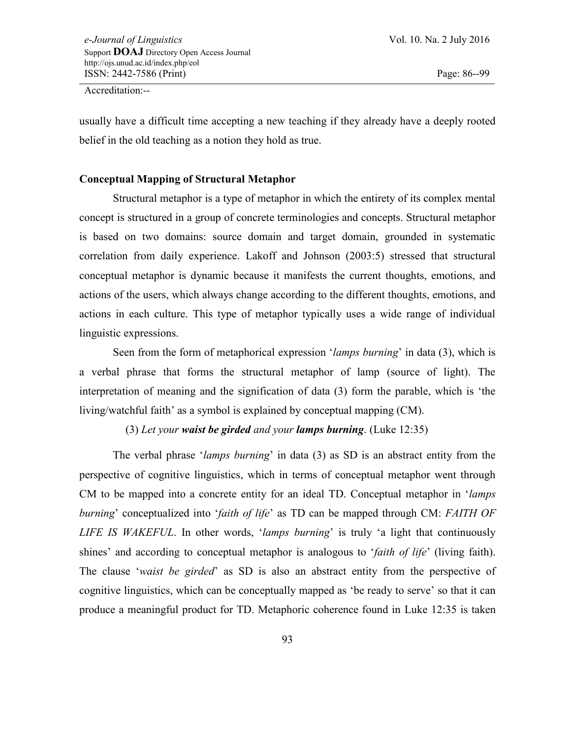usually have a difficult time accepting a new teaching if they already have a deeply rooted belief in the old teaching as a notion they hold as true.

# **Conceptual Mapping of Structural Metaphor**

Structural metaphor is a type of metaphor in which the entirety of its complex mental concept is structured in a group of concrete terminologies and concepts. Structural metaphor is based on two domains: source domain and target domain, grounded in systematic correlation from daily experience. Lakoff and Johnson (2003:5) stressed that structural conceptual metaphor is dynamic because it manifests the current thoughts, emotions, and actions of the users, which always change according to the different thoughts, emotions, and actions in each culture. This type of metaphor typically uses a wide range of individual linguistic expressions.

Seen from the form of metaphorical expression '*lamps burning*' in data (3), which is a verbal phrase that forms the structural metaphor of lamp (source of light). The interpretation of meaning and the signification of data (3) form the parable, which is "the living/watchful faith' as a symbol is explained by conceptual mapping (CM).

(3) *Let your waist be girded and your lamps burning*. (Luke 12:35)

The verbal phrase "*lamps burning*" in data (3) as SD is an abstract entity from the perspective of cognitive linguistics, which in terms of conceptual metaphor went through CM to be mapped into a concrete entity for an ideal TD. Conceptual metaphor in "*lamps burning*" conceptualized into "*faith of life*" as TD can be mapped through CM: *FAITH OF LIFE IS WAKEFUL*. In other words, "*lamps burning*" is truly "a light that continuously shines" and according to conceptual metaphor is analogous to "*faith of life*" (living faith). The clause "*waist be girded*" as SD is also an abstract entity from the perspective of cognitive linguistics, which can be conceptually mapped as "be ready to serve" so that it can produce a meaningful product for TD. Metaphoric coherence found in Luke 12:35 is taken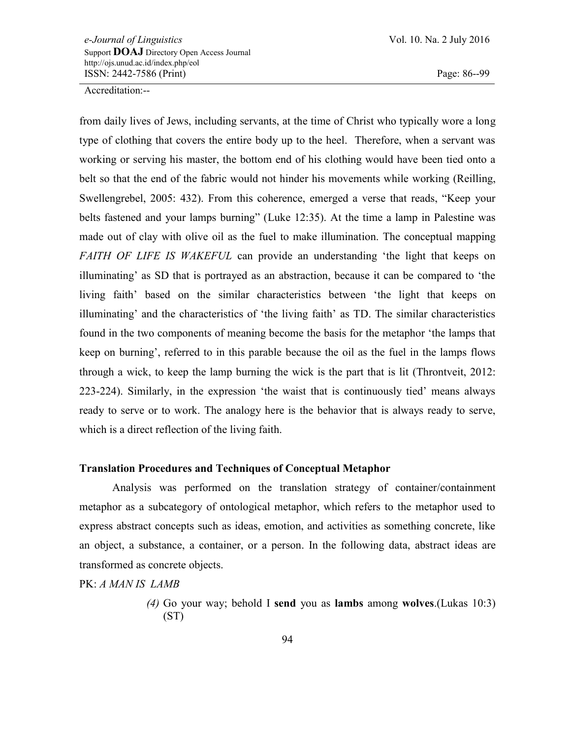from daily lives of Jews, including servants, at the time of Christ who typically wore a long type of clothing that covers the entire body up to the heel. Therefore, when a servant was working or serving his master, the bottom end of his clothing would have been tied onto a belt so that the end of the fabric would not hinder his movements while working (Reilling, Swellengrebel, 2005: 432). From this coherence, emerged a verse that reads, "Keep your belts fastened and your lamps burning" (Luke 12:35). At the time a lamp in Palestine was made out of clay with olive oil as the fuel to make illumination. The conceptual mapping *FAITH OF LIFE IS WAKEFUL* can provide an understanding "the light that keeps on illuminating' as SD that is portrayed as an abstraction, because it can be compared to 'the living faith" based on the similar characteristics between "the light that keeps on illuminating' and the characteristics of 'the living faith' as TD. The similar characteristics found in the two components of meaning become the basis for the metaphor "the lamps that keep on burning", referred to in this parable because the oil as the fuel in the lamps flows through a wick, to keep the lamp burning the wick is the part that is lit (Throntveit, 2012: 223-224). Similarly, in the expression "the waist that is continuously tied" means always ready to serve or to work. The analogy here is the behavior that is always ready to serve, which is a direct reflection of the living faith.

#### **Translation Procedures and Techniques of Conceptual Metaphor**

Analysis was performed on the translation strategy of container/containment metaphor as a subcategory of ontological metaphor, which refers to the metaphor used to express abstract concepts such as ideas, emotion, and activities as something concrete, like an object, a substance, a container, or a person. In the following data, abstract ideas are transformed as concrete objects.

PK: *A MAN IS LAMB*

*<sup>(4)</sup>* Go your way; behold I **send** you as **lambs** among **wolves**.(Lukas 10:3) (ST)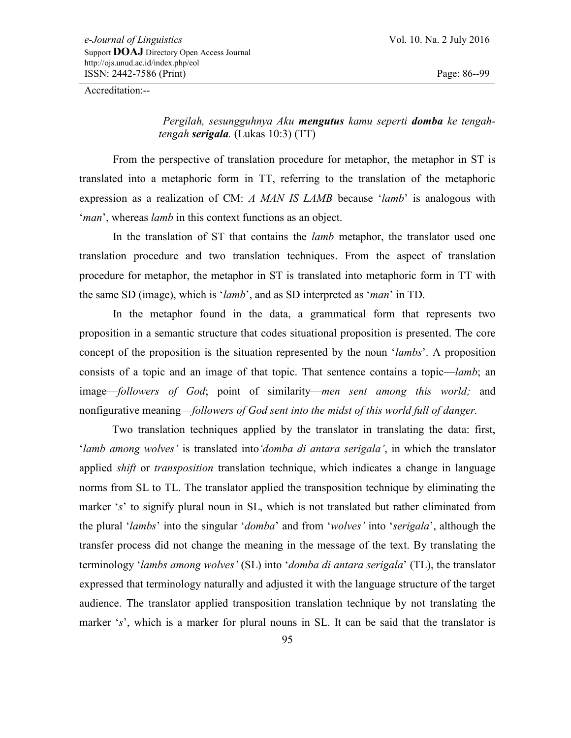*Pergilah, sesungguhnya Aku mengutus kamu seperti domba ke tengahtengah serigala.* (Lukas 10:3) (TT)

From the perspective of translation procedure for metaphor, the metaphor in ST is translated into a metaphoric form in TT, referring to the translation of the metaphoric expression as a realization of CM: *A MAN IS LAMB* because "*lamb*" is analogous with '*man*', whereas *lamb* in this context functions as an object.

In the translation of ST that contains the *lamb* metaphor, the translator used one translation procedure and two translation techniques. From the aspect of translation procedure for metaphor, the metaphor in ST is translated into metaphoric form in TT with the same SD (image), which is "*lamb*", and as SD interpreted as "*man*" in TD.

In the metaphor found in the data, a grammatical form that represents two proposition in a semantic structure that codes situational proposition is presented. The core concept of the proposition is the situation represented by the noun "*lambs*". A proposition consists of a topic and an image of that topic. That sentence contains a topic—*lamb*; an image—*followers of God*; point of similarity—*men sent among this world;* and nonfigurative meaning—*followers of God sent into the midst of this world full of danger.* 

Two translation techniques applied by the translator in translating the data: first, "*lamb among wolves"* is translated into*"domba di antara serigala"*, in which the translator applied *shift* or *transposition* translation technique, which indicates a change in language norms from SL to TL. The translator applied the transposition technique by eliminating the marker 's' to signify plural noun in SL, which is not translated but rather eliminated from the plural "*lambs*" into the singular "*domba*" and from "*wolves"* into "*serigala*", although the transfer process did not change the meaning in the message of the text. By translating the terminology "*lambs among wolves"* (SL) into "*domba di antara serigala*" (TL), the translator expressed that terminology naturally and adjusted it with the language structure of the target audience. The translator applied transposition translation technique by not translating the marker 's', which is a marker for plural nouns in SL. It can be said that the translator is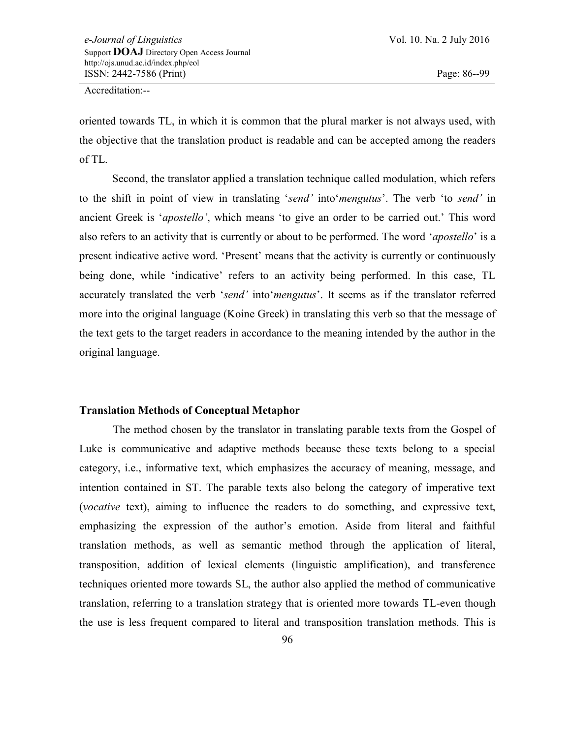oriented towards TL, in which it is common that the plural marker is not always used, with the objective that the translation product is readable and can be accepted among the readers of TL.

Second, the translator applied a translation technique called modulation, which refers to the shift in point of view in translating "*send"* into"*mengutus*". The verb "to *send"* in ancient Greek is *'apostello'*, which means 'to give an order to be carried out.' This word also refers to an activity that is currently or about to be performed. The word "*apostello*" is a present indicative active word. "Present" means that the activity is currently or continuously being done, while 'indicative' refers to an activity being performed. In this case, TL accurately translated the verb "*send"* into"*mengutus*". It seems as if the translator referred more into the original language (Koine Greek) in translating this verb so that the message of the text gets to the target readers in accordance to the meaning intended by the author in the original language.

#### **Translation Methods of Conceptual Metaphor**

The method chosen by the translator in translating parable texts from the Gospel of Luke is communicative and adaptive methods because these texts belong to a special category, i.e., informative text, which emphasizes the accuracy of meaning, message, and intention contained in ST. The parable texts also belong the category of imperative text (*vocative* text), aiming to influence the readers to do something, and expressive text, emphasizing the expression of the author"s emotion. Aside from literal and faithful translation methods, as well as semantic method through the application of literal, transposition, addition of lexical elements (linguistic amplification), and transference techniques oriented more towards SL, the author also applied the method of communicative translation, referring to a translation strategy that is oriented more towards TL-even though the use is less frequent compared to literal and transposition translation methods. This is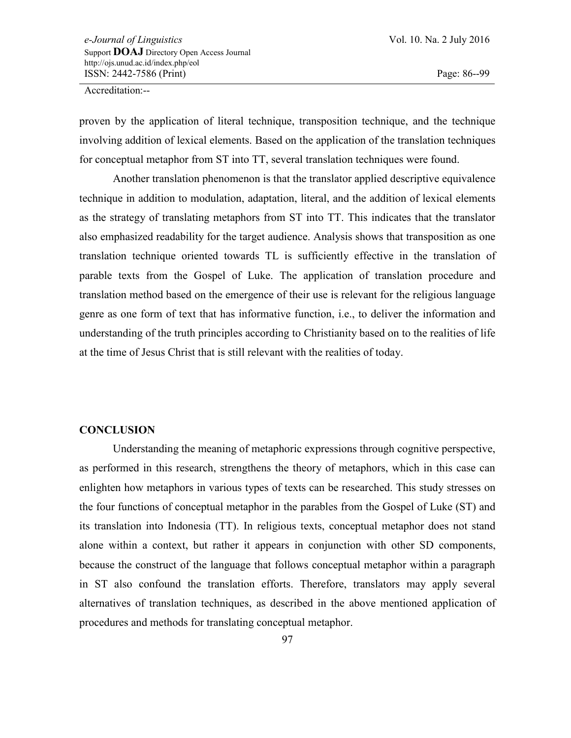proven by the application of literal technique, transposition technique, and the technique involving addition of lexical elements. Based on the application of the translation techniques for conceptual metaphor from ST into TT, several translation techniques were found.

Another translation phenomenon is that the translator applied descriptive equivalence technique in addition to modulation, adaptation, literal, and the addition of lexical elements as the strategy of translating metaphors from ST into TT. This indicates that the translator also emphasized readability for the target audience. Analysis shows that transposition as one translation technique oriented towards TL is sufficiently effective in the translation of parable texts from the Gospel of Luke. The application of translation procedure and translation method based on the emergence of their use is relevant for the religious language genre as one form of text that has informative function, i.e., to deliver the information and understanding of the truth principles according to Christianity based on to the realities of life at the time of Jesus Christ that is still relevant with the realities of today.

# **CONCLUSION**

Understanding the meaning of metaphoric expressions through cognitive perspective, as performed in this research, strengthens the theory of metaphors, which in this case can enlighten how metaphors in various types of texts can be researched. This study stresses on the four functions of conceptual metaphor in the parables from the Gospel of Luke (ST) and its translation into Indonesia (TT). In religious texts, conceptual metaphor does not stand alone within a context, but rather it appears in conjunction with other SD components, because the construct of the language that follows conceptual metaphor within a paragraph in ST also confound the translation efforts. Therefore, translators may apply several alternatives of translation techniques, as described in the above mentioned application of procedures and methods for translating conceptual metaphor.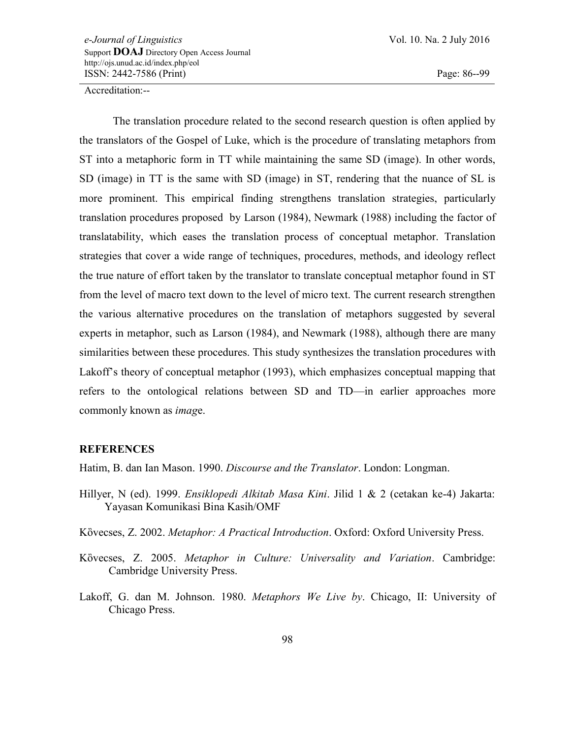The translation procedure related to the second research question is often applied by the translators of the Gospel of Luke, which is the procedure of translating metaphors from ST into a metaphoric form in TT while maintaining the same SD (image). In other words, SD (image) in TT is the same with SD (image) in ST, rendering that the nuance of SL is more prominent. This empirical finding strengthens translation strategies, particularly translation procedures proposed by Larson (1984), Newmark (1988) including the factor of translatability, which eases the translation process of conceptual metaphor. Translation strategies that cover a wide range of techniques, procedures, methods, and ideology reflect the true nature of effort taken by the translator to translate conceptual metaphor found in ST from the level of macro text down to the level of micro text. The current research strengthen the various alternative procedures on the translation of metaphors suggested by several experts in metaphor, such as Larson (1984), and Newmark (1988), although there are many similarities between these procedures. This study synthesizes the translation procedures with Lakoff"s theory of conceptual metaphor (1993), which emphasizes conceptual mapping that refers to the ontological relations between SD and TD—in earlier approaches more commonly known as *imag*e.

#### **REFERENCES**

Hatim, B. dan Ian Mason. 1990. *Discourse and the Translator*. London: Longman.

- Hillyer, N (ed). 1999. *Ensiklopedi Alkitab Masa Kini*. Jilid 1 & 2 (cetakan ke-4) Jakarta: Yayasan Komunikasi Bina Kasih/OMF
- Kὂvecses, Z. 2002. *Metaphor: A Practical Introduction*. Oxford: Oxford University Press.
- Kὂvecses, Z. 2005. *Metaphor in Culture: Universality and Variation*. Cambridge: Cambridge University Press.
- Lakoff, G. dan M. Johnson. 1980. *Metaphors We Live by*. Chicago, II: University of Chicago Press.